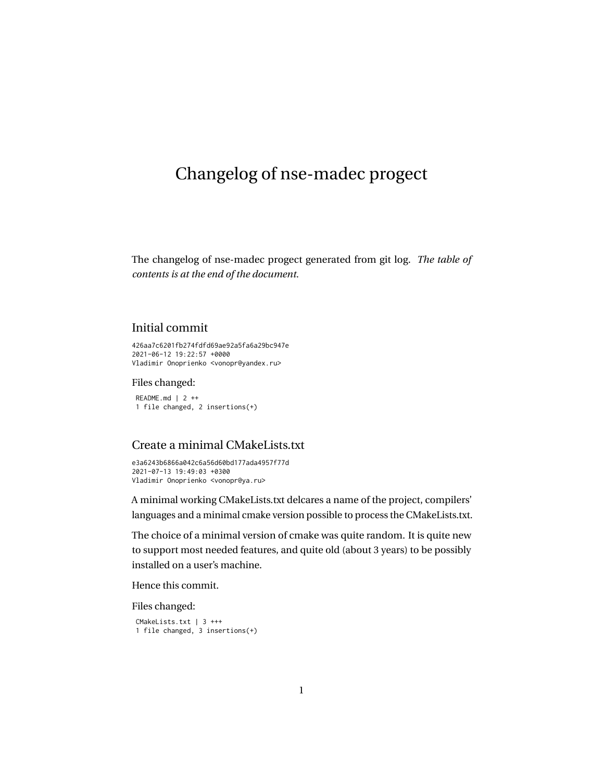# <span id="page-0-0"></span>Changelog of nse-madec progect

The changelog of nse-madec progect generated from git log. *[The table of](#page-3-0) [contents is at the end of the document.](#page-3-0)*

## Initial commit

426aa7c6201fb274fdfd69ae92a5fa6a29bc947e 2021-06-12 19:22:57 +0000 Vladimir Onoprienko <vonopr@yandex.ru>

Files changed:

README.md | 2 ++ 1 file changed, 2 insertions(+)

## Create a minimal CMakeLists.txt

e3a6243b6866a042c6a56d60bd177ada4957f77d 2021-07-13 19:49:03 +0300 Vladimir Onoprienko <vonopr@ya.ru>

A minimal working CMakeLists.txt delcares a name of the project, compilers' languages and a minimal cmake version possible to process the CMakeLists.txt.

The choice of a minimal version of cmake was quite random. It is quite new to support most needed features, and quite old (about 3 years) to be possibly installed on a user's machine.

Hence this commit.

```
CMakeLists.txt | 3 +++
1 file changed, 3 insertions(+)
```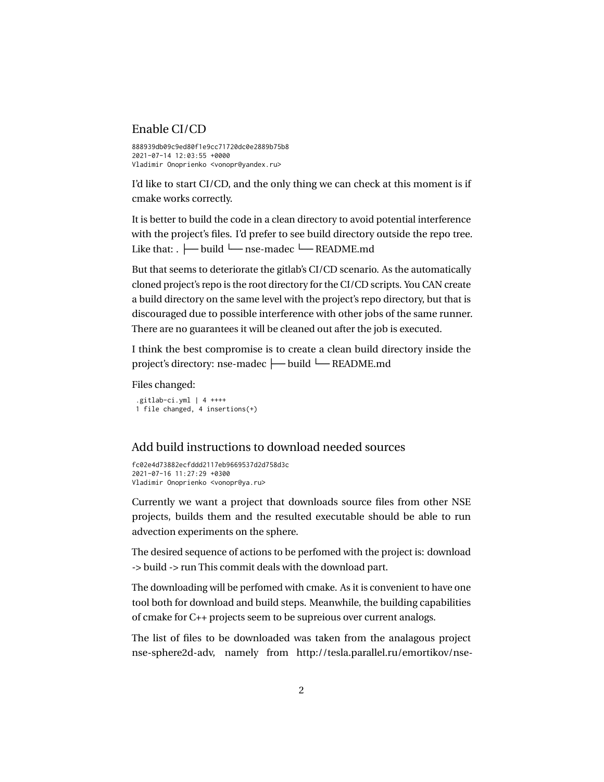### Enable CI/CD

888939db09c9ed80f1e9cc71720dc0e2889b75b8  $2021 - 07 - 14$   $12.03.55$   $+0000$ Vladimir Onoprienko <vonopr@yandex.ru>

I'd like to start CI/CD, and the only thing we can check at this moment is if cmake works correctly.

It is better to build the code in a clean directory to avoid potential interference with the project's files. I'd prefer to see build directory outside the repo tree. Like that: . ├── build └── nse-madec └── README.md

But that seems to deteriorate the gitlab's CI/CD scenario. As the automatically cloned project's repo is the root directory for the CI/CD scripts. You CAN create a build directory on the same level with the project's repo directory, but that is discouraged due to possible interference with other jobs of the same runner. There are no guarantees it will be cleaned out after the job is executed.

I think the best compromise is to create a clean build directory inside the project's directory: nse-madec ├── build └── README.md

Files changed:

```
.gitlab-ci.yml | 4 ++++
1 file changed, 4 insertions(+)
```
## Add build instructions to download needed sources

fc02e4d73882ecfddd2117eb9669537d2d758d3c 2021-07-16 11:27:29 +0300 Vladimir Onoprienko <vonopr@ya.ru>

Currently we want a project that downloads source files from other NSE projects, builds them and the resulted executable should be able to run advection experiments on the sphere.

The desired sequence of actions to be perfomed with the project is: download -> build -> run This commit deals with the download part.

The downloading will be perfomed with cmake. As it is convenient to have one tool both for download and build steps. Meanwhile, the building capabilities of cmake for C++ projects seem to be supreious over current analogs.

The list of files to be downloaded was taken from the analagous project nse-sphere2d-adv, namely from http://tesla.parallel.ru/emortikov/nse-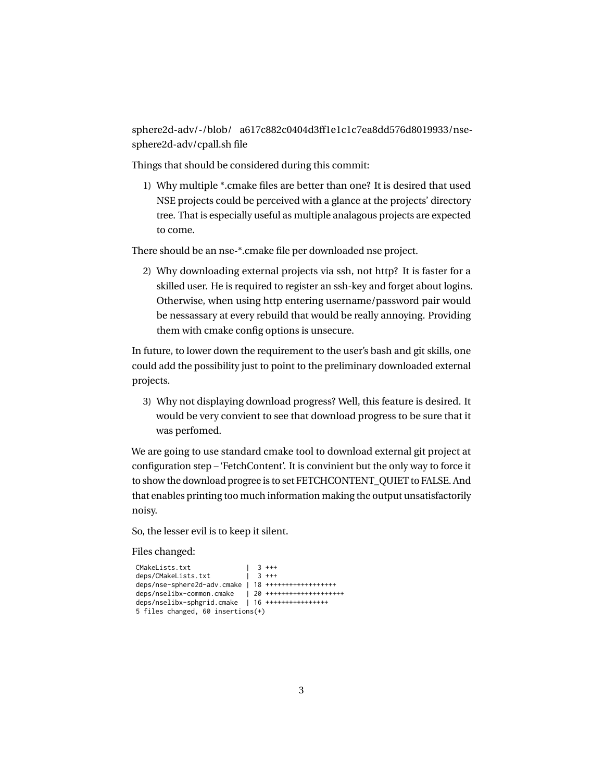sphere2d-adv/-/blob/ a617c882c0404d3ff1e1c1c7ea8dd576d8019933/nsesphere2d-adv/cpall.sh file

Things that should be considered during this commit:

1) Why multiple \*.cmake files are better than one? It is desired that used NSE projects could be perceived with a glance at the projects' directory tree. That is especially useful as multiple analagous projects are expected to come.

There should be an nse-\*.cmake file per downloaded nse project.

2) Why downloading external projects via ssh, not http? It is faster for a skilled user. He is required to register an ssh-key and forget about logins. Otherwise, when using http entering username/password pair would be nessassary at every rebuild that would be really annoying. Providing them with cmake config options is unsecure.

In future, to lower down the requirement to the user's bash and git skills, one could add the possibility just to point to the preliminary downloaded external projects.

<span id="page-2-0"></span>3) Why not displaying download progress? Well, this feature is desired. It would be very convient to see that download progress to be sure that it was perfomed.

We are going to use standard cmake tool to download external git project at configuration step – 'FetchContent'. It is convinient but the only way to force it to show the download progree is to set FETCHCONTENT\_QUIET to FALSE. And that enables printing too much information making the output unsatisfactorily noisy.

So, the lesser evil is to keep it silent.

```
CMakeLists.txt | 3 +++<br>deps/CMakeLists.txt | 3 +++
deps/CMakeLists.txt
deps/nse-sphere2d-adv.cmake | 18 ++++++++++++++++++
deps/nselibx-common.cmake | 20 ++++++++++++++++++++
deps/nselibx-sphgrid.cmake | 16 ++++++++++++++++
5 files changed, 60 insertions(+)
```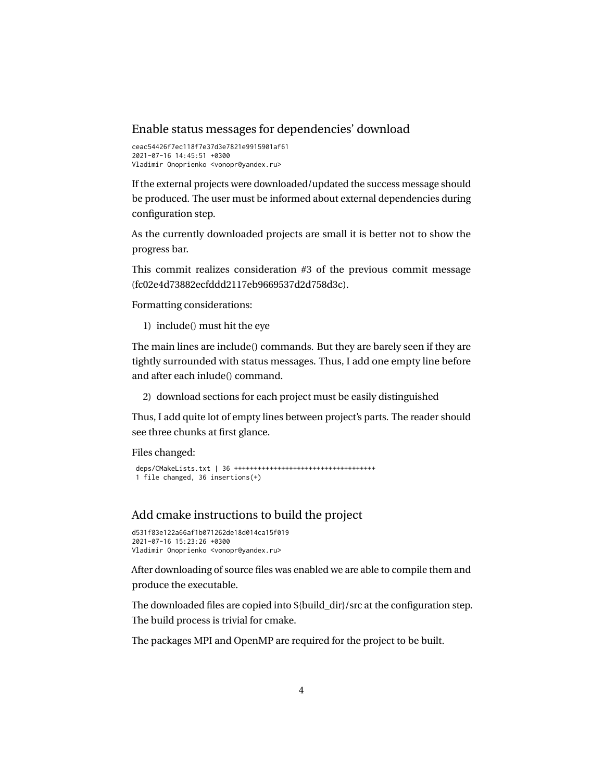### Enable status messages for dependencies' download

```
ceac54426f7ec118f7e37d3e7821e9915901af61
2021-07-16 14:45:51 +0300
Vladimir Onoprienko <vonopr@yandex.ru>
```
If the external projects were downloaded/updated the success message should be produced. The user must be informed about external dependencies during configuration step.

As the currently downloaded projects are small it is better not to show the progress bar.

This commit realizes consideration #3 of the previous commit message (fc02e4d73882ecfddd2117eb9669537d2d758d3c).

Formatting considerations:

1) include() must hit the eye

The main lines are include() commands. But they are barely seen if they are tightly surrounded with status messages. Thus, I add one empty line before and after each inlude() command.

<span id="page-3-0"></span>2) download sections for each project must be easily distinguished

Thus, I add quite lot of empty lines between project's parts. The reader should see three chunks at first glance.

Files changed:

```
deps/CMakeLists.txt | 36 ++++++++++++++++++++++++++++++++++++
1 file changed, 36 insertions(+)
```
## Add cmake instructions to build the project

```
d531f83e122a66af1b071262de18d014ca15f019
2021-07-16 15:23:26 +0300
Vladimir Onoprienko <vonopr@yandex.ru>
```
After downloading of source files was enabled we are able to compile them and produce the executable.

The downloaded files are copied into  $$\{\text{build dir}\}/\text{src}$  at the configuration step. The build process is trivial for cmake.

The packages MPI and OpenMP are required for the project to be built.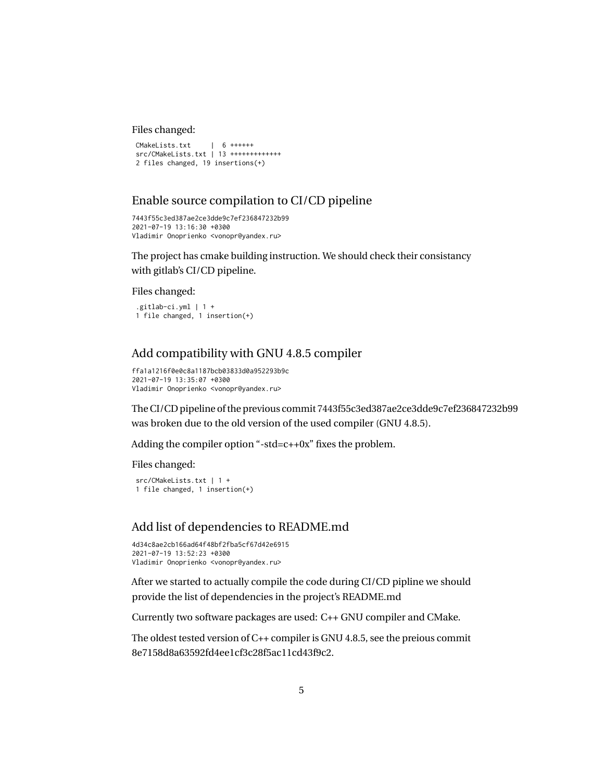#### Files changed:

```
CMakeLists.txt | 6 ++++++
src/CMakeLists.txt | 13 +++++++++++++
2 files changed, 19 insertions(+)
```
## Enable source compilation to CI/CD pipeline

```
7443f55c3ed387ae2ce3dde9c7ef236847232b99
2021-07-19 13:16:30 +0300
Vladimir Onoprienko <vonopr@yandex.ru>
```
The project has cmake building instruction. We should check their consistancy with gitlab's CI/CD pipeline.

#### Files changed:

```
.gitlab-ci.yml | 1 +
1 file changed, 1 insertion(+)
```
## Add compatibility with GNU 4.8.5 compiler

```
ffa1a1216f0e0c8a1187bcb03833d0a952293b9c
2021-07-19 13:35:07 +0300
Vladimir Onoprienko <vonopr@yandex.ru>
```
The CI/CD pipeline of the previous commit 7443f55c3ed387ae2ce3dde9c7ef236847232b99 was broken due to the old version of the used compiler (GNU 4.8.5).

Adding the compiler option "-std=c++0x" fixes the problem.

Files changed:

```
src/CMakeLists.txt | 1 +
1 file changed, 1 insertion(+)
```
## Add list of dependencies to README.md

```
4d34c8ae2cb166ad64f48bf2fba5cf67d42e6915
2021-07-19 13:52:23 +0300
Vladimir Onoprienko <vonopr@yandex.ru>
```
After we started to actually compile the code during CI/CD pipline we should provide the list of dependencies in the project's README.md

Currently two software packages are used: C++ GNU compiler and CMake.

The oldest tested version of C++ compiler is GNU 4.8.5, see the preious commit 8e7158d8a63592fd4ee1cf3c28f5ac11cd43f9c2.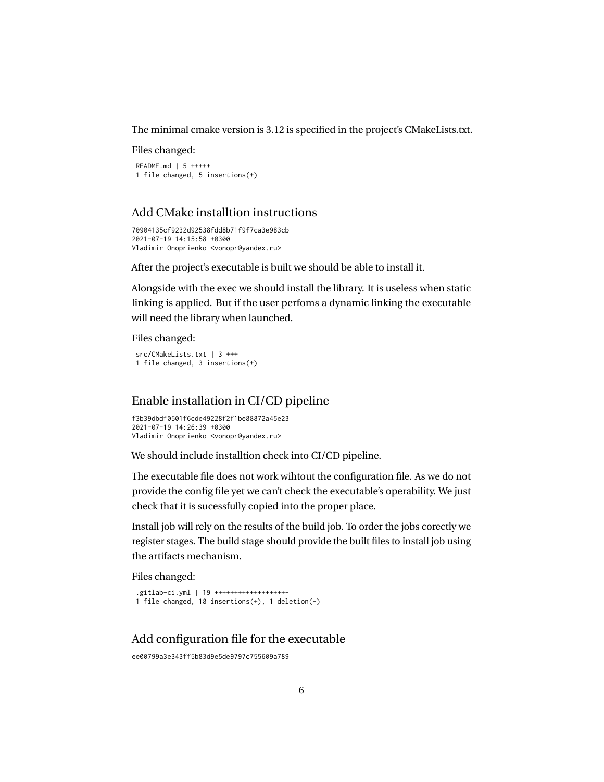The minimal cmake version is 3.12 is specified in the project's CMakeLists.txt.

Files changed:

README.md | 5 +++++ 1 file changed, 5 insertions(+)

## Add CMake installtion instructions

```
70904135cf9232d92538fdd8b71f9f7ca3e983cb
2021-07-19 14:15:58 +0300
Vladimir Onoprienko <vonopr@yandex.ru>
```
After the project's executable is built we should be able to install it.

Alongside with the exec we should install the library. It is useless when static linking is applied. But if the user perfoms a dynamic linking the executable will need the library when launched.

Files changed:

```
src/CMakeLists.txt | 3 +++
1 file changed, 3 insertions(+)
```
## Enable installation in CI/CD pipeline

f3b39dbdf0501f6cde49228f2f1be88872a45e23 2021-07-19 14:26:39 +0300 Vladimir Onoprienko <vonopr@yandex.ru>

We should include installtion check into CI/CD pipeline.

The executable file does not work wihtout the configuration file. As we do not provide the config file yet we can't check the executable's operability. We just check that it is sucessfully copied into the proper place.

Install job will rely on the results of the build job. To order the jobs corectly we register stages. The build stage should provide the built files to install job using the artifacts mechanism.

Files changed:

```
.gitlab-ci.yml | 19 ++++++++++++++++++-
1 file changed, 18 insertions(+), 1 deletion(-)
```
## Add configuration file for the executable

```
ee00799a3e343ff5b83d9e5de9797c755609a789
```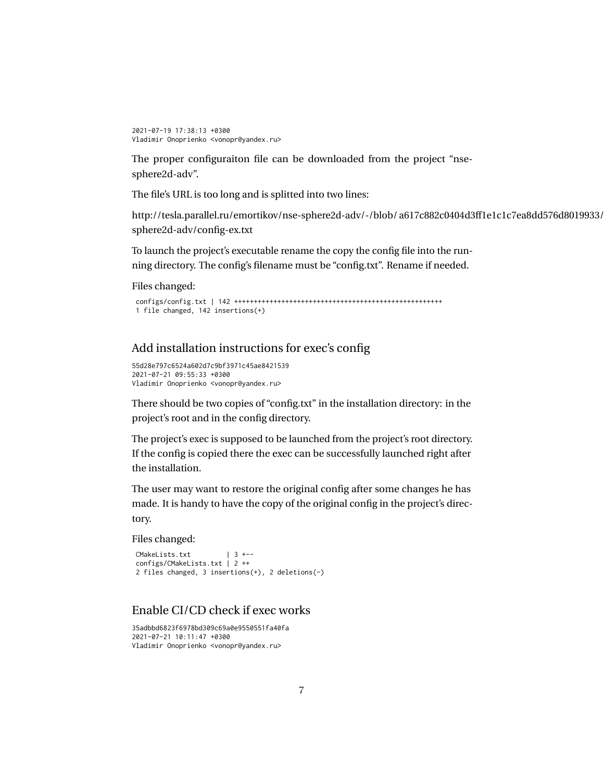```
2021-07-19 17:38:13 +0300
Vladimir Onoprienko <vonopr@yandex.ru>
```
The proper configuraiton file can be downloaded from the project "nsesphere2d-adv".

The file's URL is too long and is splitted into two lines:

http://tesla.parallel.ru/emortikov/nse-sphere2d-adv/-/blob/a617c882c0404d3ff1e1c1c7ea8dd576d8019933/ sphere2d-adv/config-ex.txt

To launch the project's executable rename the copy the config file into the running directory. The config's filename must be "config.txt". Rename if needed.

Files changed:

```
configs/config.txt | 142 +++++++++++++++++++++++++++++++++++++++++++++++++++++
1 file changed, 142 insertions(+)
```
## Add installation instructions for exec's config

```
55d28e797c6524a602d7c9bf3971c45ae8421539
2021-07-21 09:55:33 +0300
Vladimir Onoprienko <vonopr@yandex.ru>
```
There should be two copies of "config.txt" in the installation directory: in the project's root and in the config directory.

The project's exec is supposed to be launched from the project's root directory. If the config is copied there the exec can be successfully launched right after the installation.

The user may want to restore the original config after some changes he has made. It is handy to have the copy of the original config in the project's directory.

Files changed:

```
CMakeLists.txt | 3 +--
configs/CMakeLists.txt | 2 ++
2 files changed, 3 insertions(+), 2 deletions(-)
```
## Enable CI/CD check if exec works

35adbbd6823f6978bd309c69a0e9550551fa40fa 2021-07-21 10:11:47 +0300 Vladimir Onoprienko <vonopr@yandex.ru>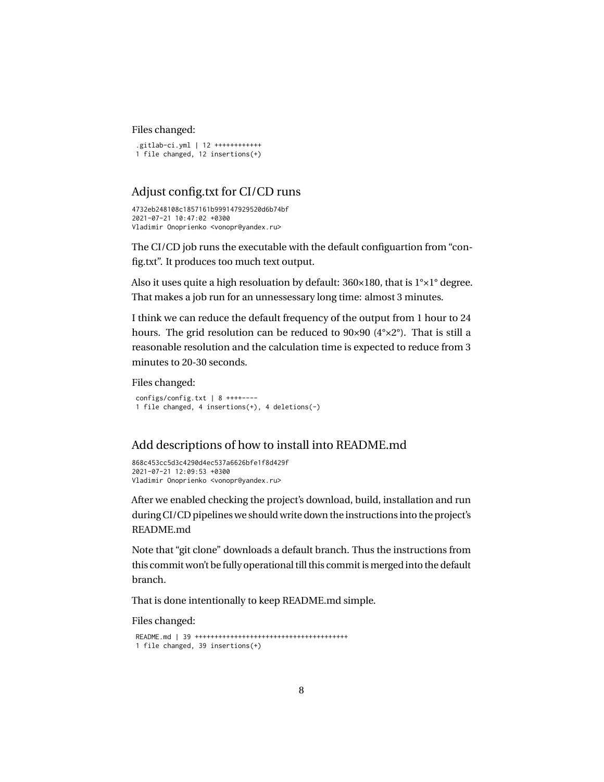#### Files changed:

```
.gitlab-ci.yml | 12 ++++++++++++
1 file changed, 12 insertions(+)
```
## Adjust config.txt for CI/CD runs

4732eb248108c1857161b999147929520d6b74bf 2021-07-21 10:47:02 +0300 Vladimir Onoprienko <vonopr@yandex.ru>

The CI/CD job runs the executable with the default configuartion from "config.txt". It produces too much text output.

Also it uses quite a high resoluation by default: 360×180, that is 1°×1° degree. That makes a job run for an unnessessary long time: almost 3 minutes.

I think we can reduce the default frequency of the output from 1 hour to 24 hours. The grid resolution can be reduced to 90×90 (4°×2°). That is still a reasonable resolution and the calculation time is expected to reduce from 3 minutes to 20-30 seconds.

Files changed:

```
configs/config.txt | 8 ++++----
1 file changed, 4 insertions(+), 4 deletions(-)
```
## Add descriptions of how to install into README.md

```
868c453cc5d3c4290d4ec537a6626bfe1f8d429f
2021-07-21 12:09:53 +0300
Vladimir Onoprienko <vonopr@yandex.ru>
```
After we enabled checking the project's download, build, installation and run during CI/CD pipelines we should write down the instructions into the project's README.md

Note that "git clone" downloads a default branch. Thus the instructions from this commit won't be fully operational till this commit is merged into the default branch.

That is done intentionally to keep README.md simple.

```
README.md | 39 +++++++++++++++++++++++++++++++++++++++
1 file changed, 39 insertions(+)
```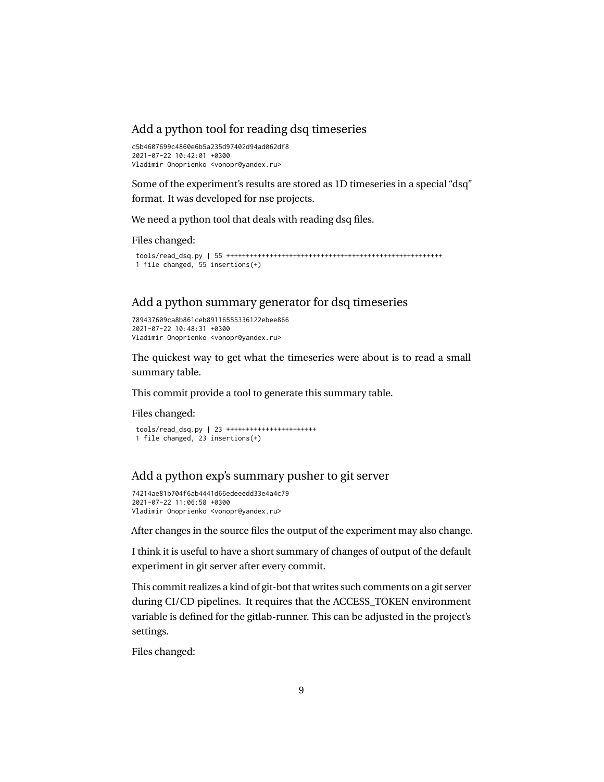### Add a python tool for reading dsq timeseries

c5b4607699c4860e6b5a235d97402d94ad062df8  $2021 - 07 - 22$   $10 \cdot 42 \cdot 01$   $+0300$ Vladimir Onoprienko <vonopr@yandex.ru>

Some of the experiment's results are stored as 1D timeseries in a special "dsq" format. It was developed for nse projects.

We need a python tool that deals with reading dsq files.

Files changed:

tools/read\_dsq.py | 55 +++++++++++++++++++++++++++++++++++++++++++++++++++++++ 1 file changed, 55 insertions(+)

### Add a python summary generator for dsq timeseries

```
789437609ca8b861ceb89116555336122ebee866
2021-07-22 10:48:31 +0300
Vladimir Onoprienko <vonopr@yandex.ru>
```
The quickest way to get what the timeseries were about is to read a small summary table.

This commit provide a tool to generate this summary table.

Files changed:

```
tools/read_dsq.py | 23 +++++++++++++++++++++++
1 file changed, 23 insertions(+)
```
## Add a python exp's summary pusher to git server

```
74214ae81b704f6ab4441d66edeeedd33e4a4c79
2021-07-22 11:06:58 +0300
Vladimir Onoprienko <vonopr@yandex.ru>
```
After changes in the source files the output of the experiment may also change.

I think it is useful to have a short summary of changes of output of the default experiment in git server after every commit.

This commit realizes a kind of git-bot that writes such comments on a git server during CI/CD pipelines. It requires that the ACCESS\_TOKEN environment variable is defined for the gitlab-runner. This can be adjusted in the project's settings.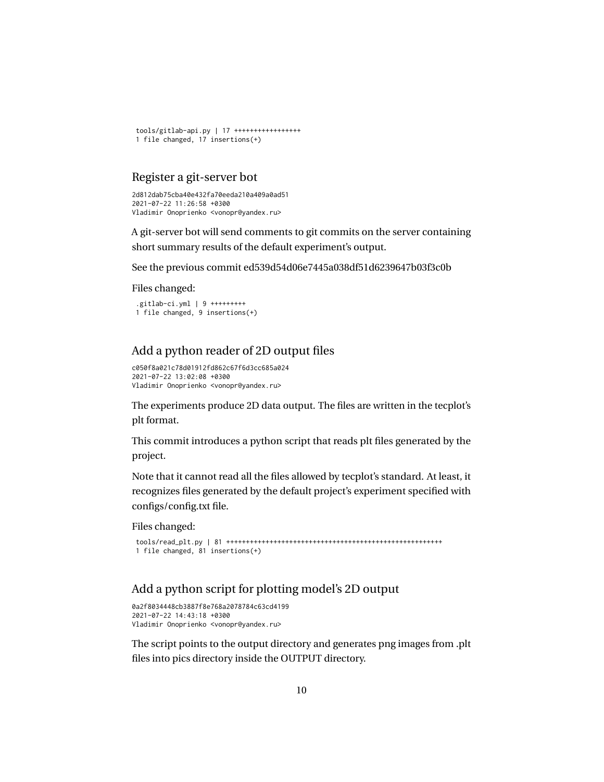```
tools/gitlab-api.py | 17 +++++++++++++++++
1 file changed, 17 insertions(+)
```
### Register a git-server bot

```
2d812dab75cba40e432fa70eeda210a409a0ad51
2021-07-22 11:26:58 +0300
Vladimir Onoprienko <vonopr@yandex.ru>
```
A git-server bot will send comments to git commits on the server containing short summary results of the default experiment's output.

See the previous commit ed539d54d06e7445a038df51d6239647b03f3c0b

Files changed:

```
.gitlab-ci.yml | 9 +++++++++
1 file changed, 9 insertions(+)
```
## Add a python reader of 2D output files

```
c050f8a021c78d01912fd862c67f6d3cc685a024
2021-07-22 13:02:08 +0300
Vladimir Onoprienko <vonopr@yandex.ru>
```
The experiments produce 2D data output. The files are written in the tecplot's plt format.

This commit introduces a python script that reads plt files generated by the project.

Note that it cannot read all the files allowed by tecplot's standard. At least, it recognizes files generated by the default project's experiment specified with configs/config.txt file.

Files changed:

```
tools/read_plt.py | 81 +++++++++++++++++++++++++++++++++++++++++++++++++++++++
1 file changed, 81 insertions(+)
```
## Add a python script for plotting model's 2D output

```
0a2f8034448cb3887f8e768a2078784c63cd4199
2021-07-22 14:43:18 +0300
Vladimir Onoprienko <vonopr@yandex.ru>
```
The script points to the output directory and generates png images from .plt files into pics directory inside the OUTPUT directory.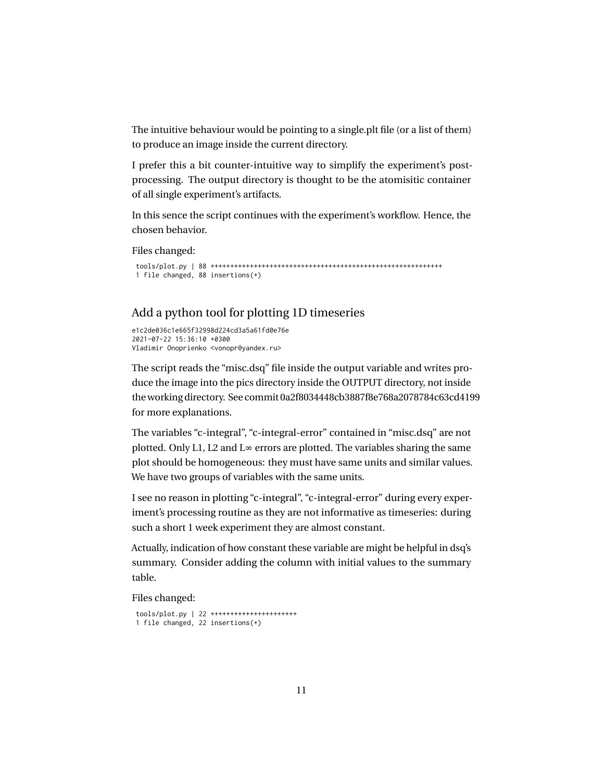The intuitive behaviour would be pointing to a single.plt file (or a list of them) to produce an image inside the current directory.

I prefer this a bit counter-intuitive way to simplify the experiment's postprocessing. The output directory is thought to be the atomisitic container of all single experiment's artifacts.

In this sence the script continues with the experiment's workflow. Hence, the chosen behavior.

Files changed:

```
tools/plot.py | 88 +++++++++++++++++++++++++++++++++++++++++++++++++++++++++++
1 file changed, 88 insertions(+)
```
## Add a python tool for plotting 1D timeseries

```
e1c2de036c1e665f32998d224cd3a5a61fd0e76e
2021-07-22 15:36:10 +0300
Vladimir Onoprienko <vonopr@yandex.ru>
```
The script reads the "misc.dsq" file inside the output variable and writes produce the image into the pics directory inside the OUTPUT directory, not inside the working directory. See commit 0a2f8034448cb3887f8e768a2078784c63cd4199 for more explanations.

The variables "c-integral", "c-integral-error" contained in "misc.dsq" are not plotted. Only L1, L2 and L∞ errors are plotted. The variables sharing the same plot should be homogeneous: they must have same units and similar values. We have two groups of variables with the same units.

I see no reason in plotting "c-integral", "c-integral-error" during every experiment's processing routine as they are not informative as timeseries: during such a short 1 week experiment they are almost constant.

Actually, indication of how constant these variable are might be helpful in dsq's summary. Consider adding the column with initial values to the summary table.

```
tools/plot.py | 22 ++++++++++++++++++++++
1 file changed, 22 insertions(+)
```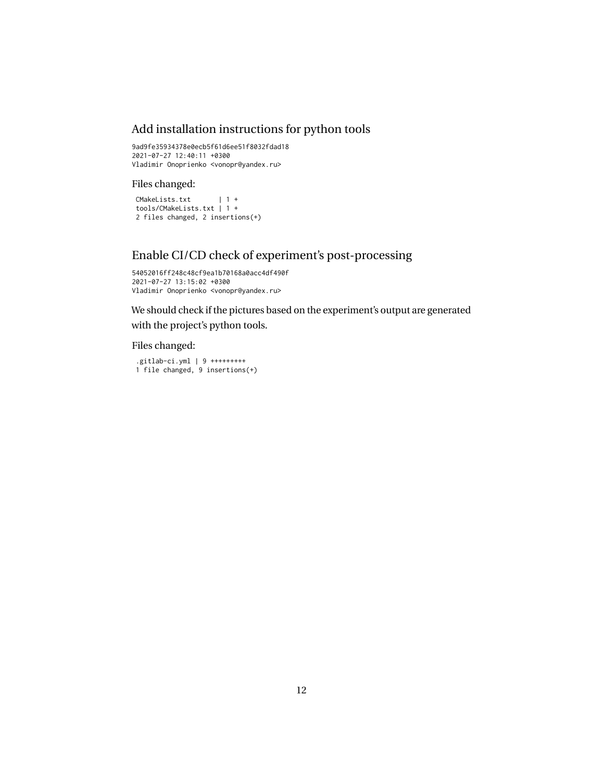## Add installation instructions for python tools

9ad9fe35934378e0ecb5f61d6ee51f8032fdad18 2021-07-27 12:40:11 +0300 Vladimir Onoprienko <vonopr@yandex.ru>

#### Files changed:

CMakeLists.txt | 1 + tools/CMakeLists.txt | 1 + 2 files changed, 2 insertions(+)

## Enable CI/CD check of experiment's post-processing

```
54052016ff248c48cf9ea1b70168a0acc4df490f
2021-07-27 13:15:02 +0300
Vladimir Onoprienko <vonopr@yandex.ru>
```
We should check if the pictures based on the experiment's output are generated with the project's python tools.

#### Files changed:

.gitlab-ci.yml | 9 +++++++++ 1 file changed, 9 insertions(+)